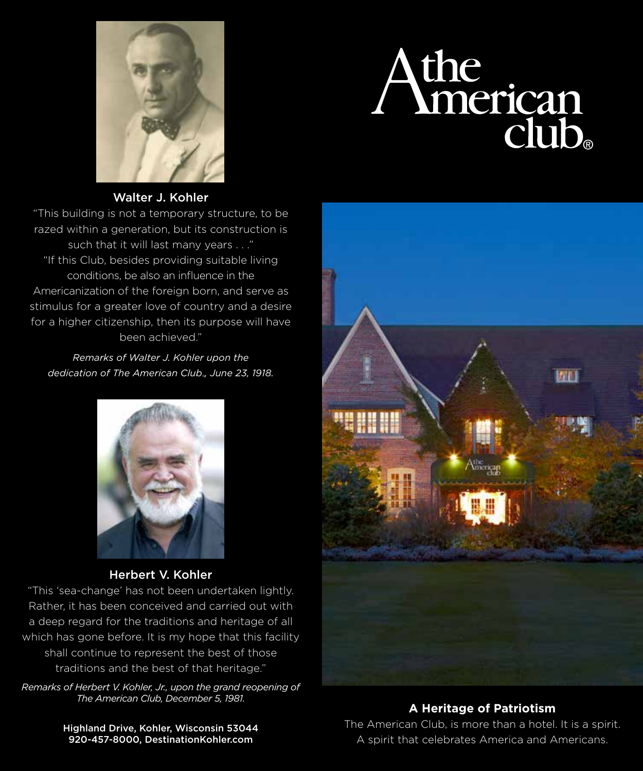

# Athe<br>
Imerican<br>
club.

### Walter J. Kohler

"This building is not a temporary structure, to be razed within a generation, but its construction is such that it will last many years . . ." "If this Club, besides providing suitable living conditions, be also an influence in the Americanization of the foreign born, and serve as stimulus for a greater love of country and a desire for a higher citizenship, then its purpose will have been achieved."

*Remarks of Walter J. Kohler upon the dedication of The American Club*® *, June 23, 1918.*



Herbert V. Kohler

"This 'sea-change' has not been undertaken lightly. Rather, it has been conceived and carried out with a deep regard for the traditions and heritage of all which has gone before. It is my hope that this facility shall continue to represent the best of those traditions and the best of that heritage."

*Remarks of Herbert V. Kohler, Jr., upon the grand reopening of The American Club, December 5, 1981.*

屏山

### **A Heritage of Patriotism**

Highland Drive, Kohler, Wisconsin 53044 920-457-8000, DestinationKohler.com

The American Club, is more than a hotel. It is a spirit. A spirit that celebrates America and Americans.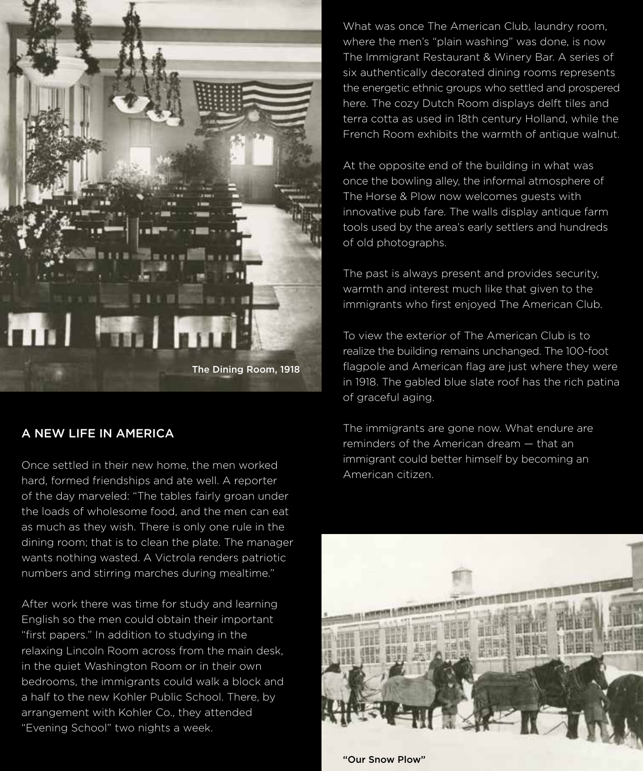

The Dining Room, 1918

### A NEW LIFE IN AMERICA

Once settled in their new home, the men worked hard, formed friendships and ate well. A reporter of the day marveled: "The tables fairly groan under the loads of wholesome food, and the men can eat as much as they wish. There is only one rule in the dining room; that is to clean the plate. The manager wants nothing wasted. A Victrola renders patriotic numbers and stirring marches during mealtime."

After work there was time for study and learning English so the men could obtain their important "first papers." In addition to studying in the relaxing Lincoln Room across from the main desk, in the quiet Washington Room or in their own bedrooms, the immigrants could walk a block and a half to the new Kohler Public School. There, by arrangement with Kohler Co., they attended "Evening School" two nights a week.

What was once The American Club, laundry room, where the men's "plain washing" was done, is now The Immigrant Restaurant & Winery Bar. A series of six authentically decorated dining rooms represents the energetic ethnic groups who settled and prospered here. The cozy Dutch Room displays delft tiles and terra cotta as used in 18th century Holland, while the French Room exhibits the warmth of antique walnut.

At the opposite end of the building in what was once the bowling alley, the informal atmosphere of The Horse & Plow now welcomes guests with innovative pub fare. The walls display antique farm tools used by the area's early settlers and hundreds of old photographs.

The past is always present and provides security, warmth and interest much like that given to the immigrants who first enjoyed The American Club.

To view the exterior of The American Club is to realize the building remains unchanged. The 100-foot flagpole and American flag are just where they were in 1918. The gabled blue slate roof has the rich patina of graceful aging.

The immigrants are gone now. What endure are reminders of the American dream — that an immigrant could better himself by becoming an American citizen.



"Our Snow Plow"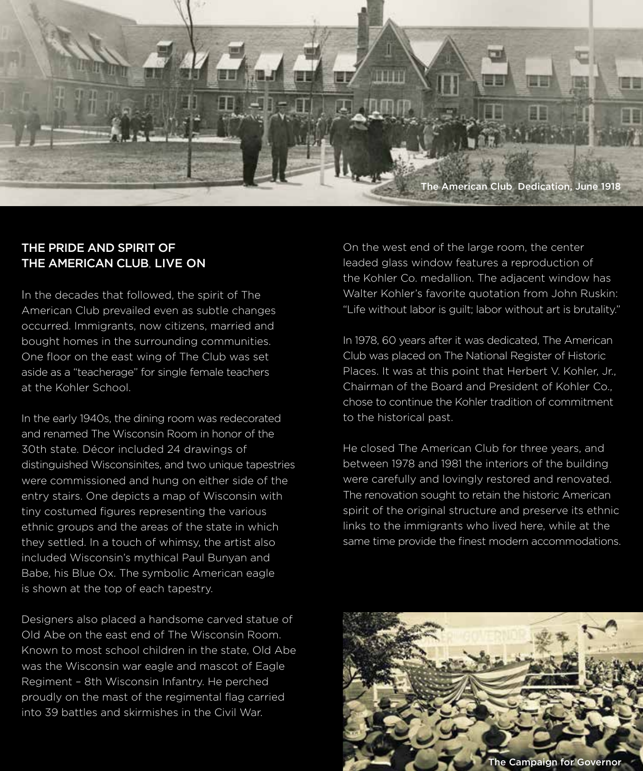

## THE PRIDE AND SPIRIT OF THE AMERICAN CLUB, LIVE ON

In the decades that followed, the spirit of The American Club prevailed even as subtle changes occurred. Immigrants, now citizens, married and bought homes in the surrounding communities. One floor on the east wing of The Club was set aside as a "teacherage" for single female teachers at the Kohler School.

In the early 1940s, the dining room was redecorated and renamed The Wisconsin Room in honor of the 30th state. Décor included 24 drawings of distinguished Wisconsinites, and two unique tapestries were commissioned and hung on either side of the entry stairs. One depicts a map of Wisconsin with tiny costumed figures representing the various ethnic groups and the areas of the state in which they settled. In a touch of whimsy, the artist also included Wisconsin's mythical Paul Bunyan and Babe, his Blue Ox. The symbolic American eagle is shown at the top of each tapestry.

Designers also placed a handsome carved statue of Old Abe on the east end of The Wisconsin Room. Known to most school children in the state, Old Abe was the Wisconsin war eagle and mascot of Eagle Regiment – 8th Wisconsin Infantry. He perched proudly on the mast of the regimental flag carried into 39 battles and skirmishes in the Civil War.

On the west end of the large room, the center leaded glass window features a reproduction of the Kohler Co. medallion. The adjacent window has Walter Kohler's favorite quotation from John Ruskin: "Life without labor is guilt; labor without art is brutality."

In 1978, 60 years after it was dedicated, The American Club was placed on The National Register of Historic Places. It was at this point that Herbert V. Kohler, Jr., Chairman of the Board and President of Kohler Co., chose to continue the Kohler tradition of commitment to the historical past.

He closed The American Club for three years, and between 1978 and 1981 the interiors of the building were carefully and lovingly restored and renovated. The renovation sought to retain the historic American spirit of the original structure and preserve its ethnic links to the immigrants who lived here, while at the same time provide the finest modern accommodations.